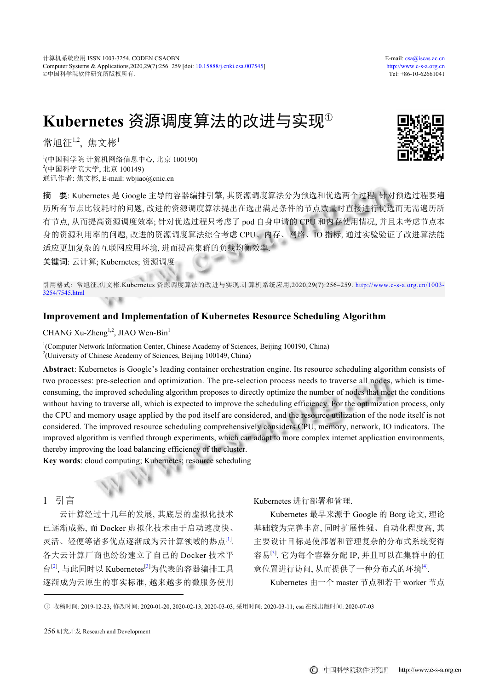# **Kubernetes** 资源调度算法的改进与实现<sup>①</sup>

常旭征 $^{1,2}$ ,焦文彬 $^{1}$ 

1 (中国科学院 计算机网络信息中心, 北京 100190) 2 (中国科学院大学, 北京 100149) 通讯作者: 焦文彬, E-mail: wbjiao@cnic.cn

摘 要: Kubernetes 是 Google 主导的容器编排引擎, 其资源调度算法分为预选和优选两个过程. 针对预选过程要遍 历所有节点比较耗时的问题, 改进的资源调度算法提出在选出满足条件的节点数量时直接进行优选而无需遍历所 有节点, 从而提高资源调度效率; 针对优选过程只考虑了 pod 自身申请的 CPU 和内存使用情况, 并且未考虑节点本 身的资源利用率的问题, 改进的资源调度算法综合考虑 CPU、内存、网络、IO 指标, 通过实验验证了改进算法能 适应更加复杂的互联网应用环境, 进而提高集群的负载均衡效率.

关键词: 云计算; Kubernetes; 资源调度

引用格式: 常旭征,焦文彬.Kubernetes 资源调度算法的改进与实现.计算机系统应用,2020,29(7):256–259. [http://www.c-s-a.org.cn/1003-](http://www.c-s-a.org.cn/1003-3254/7545.html) [3254/7545.html](http://www.c-s-a.org.cn/1003-3254/7545.html)  $\mathcal{R}$ 

# **Improvement and Implementation of Kubernetes Resource Scheduling Algorithm**

CHANG Xu-Zheng<sup>1,2</sup>, JIAO Wen-Bin<sup>1</sup>

<sup>1</sup>(Computer Network Information Center, Chinese Academy of Sciences, Beijing 100190, China) <sup>2</sup>(University of Chinese Academy of Sciences, Beijing 100149, China)

S

**Abstract**: Kubernetes is Google's leading container orchestration engine. Its resource scheduling algorithm consists of two processes: pre-selection and optimization. The pre-selection process needs to traverse all nodes, which is timeconsuming, the improved scheduling algorithm proposes to directly optimize the number of nodes that meet the conditions without having to traverse all, which is expected to improve the scheduling efficiency. For the optimization process, only the CPU and memory usage applied by the pod itself are considered, and the resource utilization of the node itself is not considered. The improved resource scheduling comprehensively considers CPU, memory, network, IO indicators. The improved algorithm is verified through experiments, which can adapt to more complex internet application environments, thereby improving the load balancing efficiency of the cluster.

**Key words**: cloud computing; Kubernetes; resource scheduling

# 1 引言

云计算经过十几年的发展, 其底层的虚拟化技术 已逐渐成熟, 而 Docker 虚拟化技术由于启动速度快、 灵活、轻便等诸多优点逐渐成为云计算领域的热点[\[1\]](#page-3-0) . 各大云计算厂商也纷纷建立了自己的 Docker 技术平 台<sup>[[2\]](#page-3-1)</sup>, 与此同时以 Kubernetes<sup>[\[3](#page-3-2)]</sup>为代表的容器编排工具 逐渐成为云原生的事实标准, 越来越多的微服务使用 Kubernetes 进行部署和管理.

Kubernetes 最早来源于 Google 的 Borg 论文, 理论 基础较为完善丰富, 同时扩展性强、自动化程度高, 其 主要设计目标是使部署和管理复杂的分布式系统变得 容易<sup>[\[3](#page-3-2)]</sup>, 它为每个容器分配 IP, 并且可以在集群中的任 意位置进行访问, 从而提供了一种分布式的环境[[4\]](#page-3-3).

Kubernetes 由一个 master 节点和若干 worker 节点

① 收稿时间: 2019-12-23; 修改时间: 2020-01-20, 2020-02-13, 2020-03-03; 采用时间: 2020-03-11; csa 在线出版时间: 2020-07-03



<sup>256</sup> 研究开发 Research and Development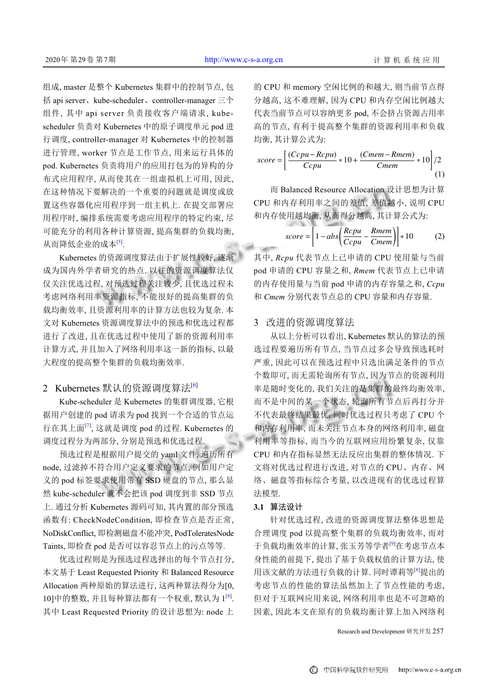组成, master 是整个 Kubernetes 集群中的控制节点, 包 括 api server、kube-scheduler、controller-manager 三个 组件, 其中 api server 负责接收客户端请求, kubescheduler 负责对 Kubernetes 中的原子调度单元 pod 进 行调度, controller-manager 对 Kubernetes 中的控制器 进行管理, worker 节点是工作节点, 用来运行具体的 pod. Kubernetes 负责将用户的应用打包为的异构的分 布式应用程序, 从而使其在一组虚拟机上可用, 因此, 在这种情况下要解决的一个重要的问题就是调度或放 置这些容器化应用程序到一组主机上. 在提交部署应 用程序时, 编排系统需要考虑应用程序的特定约束, 尽 可能充分的利用各种计算资源, 提高集群的负载均衡, 从而降低企业的成本[\[5](#page-3-4)].

Kubernetes 的资源调度算法由于扩展性较好, 逐渐 成为国内外学者研究的热点. 以往的资源调度算法仅 仅关注优选过程, 对预选过程关注较少, 且优选过程未 考虑网络利用率资源指标, 不能很好的提高集群的负 载均衡效率, 且资源利用率的计算方法也较为复杂. 本 文对 Kubernetes 资源调度算法中的预选和优选过程都 进行了改进, 且在优选过程中使用了新的资源利用率 计算方式, 并且加入了网络利用率这一新的指标, 以最 大程度的提高整个集群的负载均衡效率.

# 2 Kubernetes 默认的资源调度算法<sup>[\[6](#page-3-5)]</sup>

Kube-scheduler 是 Kubernetes 的集群调度器, 它根 据用户创建的 pod 请求为 pod 找到一个合适的节点运 行在其上面<sup>[[7](#page-3-6)]</sup>, 这就是调度 pod 的过程. Kubernetes 的 调度过程分为两部分, 分别是预选和优选过程.

预选过程是根据用户提交的 yaml 文件, 遍历所有 node, 过滤掉不符合用户定义要求的节点, 例如用户定 义的 pod 标签要求使用带有 SSD 硬盘的节点, 那么显 然 kube-scheduler 就不会把该 pod 调度到非 SSD 节点 上. 通过分析 Kubernetes 源码可知, 其内置的部分预选 函数有: CheckNodeCondition, 即检查节点是否正常, NoDiskConflict, 即检测磁盘不能冲突, PodToleratesNode Taints, 即检查 pod 是否可以容忍节点上的污点等等.

优选过程则是为预选过程选择出的每个节点打分, 本文基于 Least Requested Priority 和 Balanced Resource Allocation 两种原始的算法进行, 这两种算法得分为[0, 10]中的整数, 并且每种算法都有一个权重, 默认为 1<sup>[[8\]](#page-3-7)</sup>. 其中 Least Requested Priority 的设计思想为: node 上

的 CPU 和 memory 空闲比例的和越大, 则当前节点得 分越高, 这不难理解, 因为 CPU 和内存空闲比例越大 代表当前节点可以容纳更多 pod, 不会挤占资源占用率 高的节点, 有利于提高整个集群的资源利用率和负载 均衡, 其计算公式为:

$$
score = \left[\frac{(Ccpu - Rcpu)}{Ccpu} * 10 + \frac{(Cmem - Rmem)}{Cmem} * 10\right] / 2
$$
\n(1)

而 Balanced Resource Allocation 设计思想为计算 CPU 和内存利用率之间的差值, 差值越小, 说明 CPU 和内存使用越均衡, 从而得分越高, 其计算公式为:

$$
score = \left[1 - abs\left(\frac{Rcpu}{Ccpu} - \frac{Rmem}{Cmem}\right)\right] * 10
$$
 (2)

其中, *Rcpu* 代表节点上已申请的 CPU 使用量与当前 pod 申请的 CPU 容量之和, *Rmem* 代表节点上已申请 的内存使用量与当前 pod 申请的内存容量之和, *Ccpu* 和 *Cmem* 分别代表节点总的 CPU 容量和内存容量.

## 3 改进的资源调度算法

从以上分析可以看出, Kubernetes 默认的算法的预 选过程要遍历所有节点, 当节点过多会导致预选耗时 严重, 因此可以在预选过程中只选出满足条件的节点 个数即可, 而无需轮询所有节点, 因为节点的资源利用 率是随时变化的, 我们关注的是集群的最终均衡效率, 而不是中间的某一个状态, 轮询所有节点后再打分并 不代表最终结果最优. 同时优选过程只考虑了 CPU 个 和内存利用率, 而未关注节点本身的网络利用率, 磁盘 利用率等指标, 而当今的互联网应用纷繁复杂, 仅靠 CPU 和内存指标显然无法反应出集群的整体情况. 下 文将对优选过程进行改进, 对节点的 CPU、内存、网 络、磁盘等指标综合考量, 以改进现有的优选过程算 法模型.

## **3.1** 算法设计

针对优选过程, 改进的资源调度算法整体思想是 合理调度 pod 以提高整个集群的负载均衡效率, 而对 于负载均衡效率的计算, 张玉芳等学者[\[9\]](#page-3-8)在考虑节点本 身性能的前提下, 提出了基于负载权值的计算方法, 使 用该文献的方法进行负载的计算. 同时谭莉等[[8\]](#page-3-7)提出的 考虑节点的性能的算法虽然加上了节点性能的考虑, 但对于互联网应用来说, 网络利用率也是不可忽略的 因素, 因此本文在原有的负载均衡计算上加入网络利

Research and Development 研究开发 257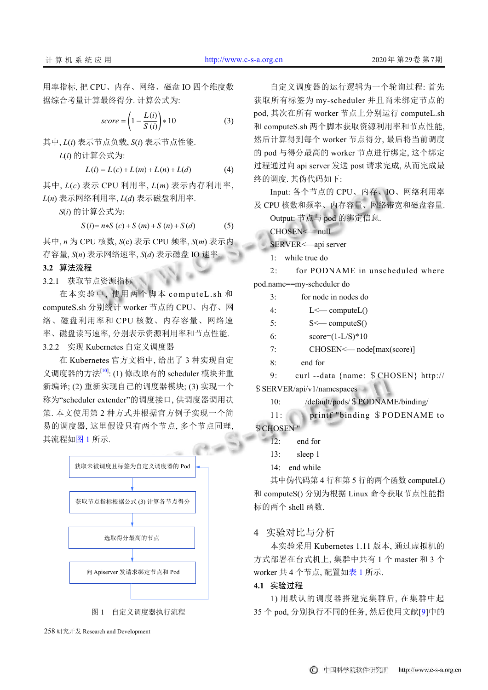用率指标, 把 CPU、内存、网络、磁盘 IO 四个维度数 据综合考量计算最终得分. 计算公式为:

$$
score = \left(1 - \frac{L(i)}{S(i)}\right) * 10\tag{3}
$$

其中, *L*(*i*) 表示节点负载, *S*(*i*) 表示节点性能.

*L*(*i*) 的计算公式为:

$$
L(i) = L(c) + L(m) + L(n) + L(d)
$$
 (4)

其中, *L*(*c*) 表示 CPU 利用率, *L*(*m*) 表示内存利用率, *L*(*n*) 表示网络利用率, *L*(*d*) 表示磁盘利用率.

*S*(*i*) 的计算公式为:

$$
S(i) = n * S(c) + S(m) + S(n) + S(d)
$$
 (5)

其中, *n* 为 CPU 核数, *S*(c) 表示 CPU 频率, *S*(*m*) 表示内 存容量, *S*(*n*) 表示网络速率, *S*(*d*) 表示磁盘 IO 速率.

#### **3.2** 算法流程

3.2.1 获取节点资源指标

在本实验中, 使用两个脚本 computeL.sh 和 computeS.sh 分别统计 worker 节点的 CPU、内存、网 络、磁盘利用率和 CPU 核数、内存容量、网络速 率、磁盘读写速率, 分别表示资源利用率和节点性能. 3.2.2 实现 Kubernetes 自定义调度器

在 Kubernetes 官方文档中, 给出了 3 种实现自定 义调度器的方法[\[10\]](#page-3-9): (1) 修改原有的 scheduler 模块并重 新编译; (2) 重新实现自己的调度器模块; (3) 实现一个 称为"scheduler extender"的调度接口, 供调度器调用决 策. 本文使用第 2 种方式并根据官方例子实现一个简 易的调度器, 这里假设只有两个节点, 多个节点同理, 其流程[如图](#page-2-0) [1](#page-2-0) 所示.



图 1 自定义调度器执行流程

<span id="page-2-0"></span>258 研究开发 Research and Development

自定义调度器的运行逻辑为一个轮询过程: 首先 获取所有标签为 my-scheduler 并且尚未绑定节点的 pod, 其次在所有 worker 节点上分别运行 computeL.sh 和 computeS.sh 两个脚本获取资源利用率和节点性能, 然后计算得到每个 worker 节点得分, 最后将当前调度 的 pod 与得分最高的 worker 节点进行绑定, 这个绑定 过程通过向 api server 发送 post 请求完成, 从而完成最 终的调度. 其伪代码如下:

Input: 各个节点的 CPU、内存、IO、网络利用率 及 CPU 核数和频率、内存容量、网络带宽和磁盘容量.

Output: 节点与 pod 的绑定信息.

CHOSEN<— null

SERVER<—api server

1: while true do

2: for PODNAME in unscheduled where pod.name==my-scheduler do

3: for node in nodes do

| $L < \text{computeL}()$ |
|-------------------------|
|                         |

 $5:$   $S \leftarrow \text{computeS}()$ 

6:  $score=(1-L/S)*10$ 

7: CHOSEN <— node[max(score)]

8: end for

9: curl --data {name: \$CHOSEN} http:// \$SERVER/api/v1/namespaces

10: /default/pods/\$PODNAME/binding/

11: printf "binding \$PODENAME to **\$ CHOSEN "** 

- 12: end for
- 13: sleep 1

14: end while

其中伪代码第 4 行和第 5 行的两个函数 computeL() 和 computeS() 分别为根据 Linux 命令获取节点性能指 标的两个 shell 函数.

## 4 实验对比与分析

本实验采用 Kubernetes 1.11 版本, 通过虚拟机的 方式部署在台式机上, 集群中共有 1 个 master 和 3 个 worker 共 4 个节点, 配置如[表](#page-3-10) [1](#page-3-10) 所示.

#### **4.1** 实验过程

1) 用默认的调度器搭建完集群后, 在集群中起 35 个 pod, 分别执行不同的任务, 然后使用文献[\[9](#page-3-8)]中的